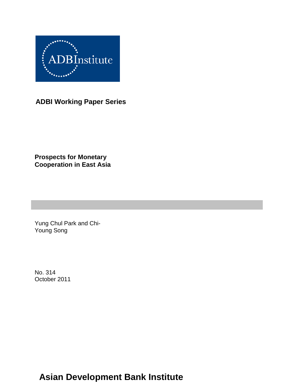

**ADBI Working Paper Series**

**Prospects for Monetary Cooperation in East Asia**

Yung Chul Park and Chi-Young Song

No. 314 October 2011

# **Asian Development Bank Institute**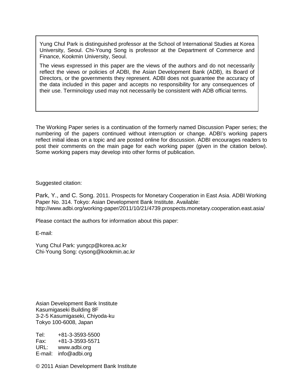Yung Chul Park is distinguished professor at the School of International Studies at Korea University, Seoul. Chi-Young Song is professor at the Department of Commerce and Finance, Kookmin University, Seoul.

The views expressed in this paper are the views of the authors and do not necessarily reflect the views or policies of ADBI, the Asian Development Bank (ADB), its Board of Directors, or the governments they represent. ADBI does not guarantee the accuracy of the data included in this paper and accepts no responsibility for any consequences of their use. Terminology used may not necessarily be consistent with ADB official terms.

The Working Paper series is a continuation of the formerly named Discussion Paper series; the numbering of the papers continued without interruption or change. ADBI's working papers reflect initial ideas on a topic and are posted online for discussion. ADBI encourages readers to post their comments on the main page for each working paper (given in the citation below). Some working papers may develop into other forms of publication.

Suggested citation:

Park, Y., and C. Song. 2011. Prospects for Monetary Cooperation in East Asia. ADBI Working Paper No. 314. Tokyo: Asian Development Bank Institute. Available: http://www.adbi.org/working-paper/2011/10/21/4739.prospects.monetary.cooperation.east.asia/

Please contact the authors for information about this paper:

E-mail:

Yung Chul Park: [yungcp@korea.ac.kr](mailto:yungcp@korea.ac.kr) Chi-Young Song: [cysong@kookmin.ac.kr](mailto:cysong@kookmin.ac.kr)

Asian Development Bank Institute Kasumigaseki Building 8F 3-2-5 Kasumigaseki, Chiyoda-ku Tokyo 100-6008, Japan

Tel: +81-3-3593-5500 Fax: +81-3-3593-5571 URL: www.adbi.org E-mail: info@adbi.org

© 2011 Asian Development Bank Institute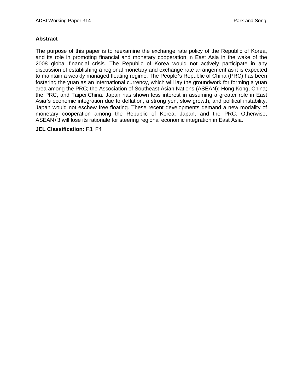#### **Abstract**

The purpose of this paper is to reexamine the exchange rate policy of the Republic of Korea, and its role in promoting financial and monetary cooperation in East Asia in the wake of the 2008 global financial crisis. The Republic of Korea would not actively participate in any discussion of establishing a regional monetary and exchange rate arrangement as it is expected to maintain a weakly managed floating regime. The People's Republic of China (PRC) has been fostering the yuan as an international currency, which will lay the groundwork for forming a yuan area among the PRC; the Association of Southeast Asian Nations (ASEAN); Hong Kong, China; the PRC; and Taipei,China. Japan has shown less interest in assuming a greater role in East Asia's economic integration due to deflation, a strong yen, slow growth, and political instability. Japan would not eschew free floating. These recent developments demand a new modality of monetary cooperation among the Republic of Korea, Japan, and the PRC. Otherwise, ASEAN+3 will lose its rationale for steering regional economic integration in East Asia.

**JEL Classification:** F3, F4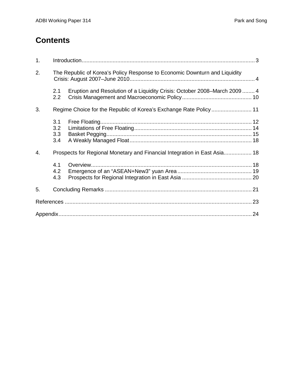# **Contents**

| 1. |                          |                                                                            |  |
|----|--------------------------|----------------------------------------------------------------------------|--|
| 2. |                          | The Republic of Korea's Policy Response to Economic Downturn and Liquidity |  |
|    | 2.1<br>2.2               | Eruption and Resolution of a Liquidity Crisis: October 2008–March 2009 4   |  |
| 3. |                          |                                                                            |  |
|    | 3.1<br>3.2<br>3.3<br>3.4 |                                                                            |  |
| 4. |                          | Prospects for Regional Monetary and Financial Integration in East Asia 18  |  |
|    | 4.1<br>4.2<br>4.3        |                                                                            |  |
| 5. |                          |                                                                            |  |
|    |                          |                                                                            |  |
|    |                          |                                                                            |  |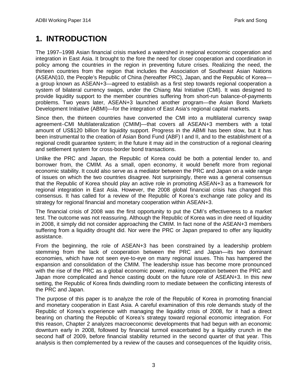# <span id="page-4-0"></span>**1. INTRODUCTION**

The 1997–1998 Asian financial crisis marked a watershed in regional economic cooperation and integration in East Asia. It brought to the fore the need for closer cooperation and coordination in policy among the countries in the region in preventing future crises. Realizing the need, the thirteen countries from the region that includes the Association of Southeast Asian Nations (ASEAN)10, the People's Republic of China (hereafter PRC), Japan, and the Republic of Korea a group known as ASEAN+3—agreed to establish as a first step towards regional cooperation a system of bilateral currency swaps, under the Chiang Mai Initiative (CMI). It was designed to provide liquidity support to the member countries suffering from short-run balance-of-payments problems. Two years later, ASEAN+3 launched another program—the Asian Bond Markets Development Initiative (ABMI)—for the integration of East Asia's regional capital markets.

Since then, the thirteen countries have converted the CMI into a multilateral currency swap agreement–CMI Multilateralization (CMIM)—that covers all ASEAN+3 members with a total amount of US\$120 billion for liquidity support. Progress in the ABMI has been slow, but it has been instrumental to the creation of Asian Bond Fund (ABF) I and II, and to the establishment of a regional credit guarantee system; in the future it may aid in the construction of a regional clearing and settlement system for cross-border bond transactions.

Unlike the PRC and Japan, the Republic of Korea could be both a potential lender to, and borrower from, the CMIM. As a small, open economy, it would benefit more from regional economic stability. It could also serve as a mediator between the PRC and Japan on a wide range of issues on which the two countries disagree. Not surprisingly, there was a general consensus that the Republic of Korea should play an active role in promoting ASEAN+3 as a framework for regional integration in East Asia. However, the 2008 global financial crisis has changed this consensus. It has called for a review of the Republic of Korea's exchange rate policy and its strategy for regional financial and monetary cooperation within ASEAN+3.

The financial crisis of 2008 was the first opportunity to put the CMI's effectiveness to a market test. The outcome was not reassuring. Although the Republic of Korea was in dire need of liquidity in 2008, it simply did not consider approaching the CMIM. In fact none of the ASEAN+3 members suffering from a liquidity drought did. Nor were the PRC or Japan prepared to offer any liquidity assistance.

From the beginning, the role of ASEAN+3 has been constrained by a leadership problem stemming from the lack of cooperation between the PRC and Japan—its two dominant economies, which have not seen eye-to-eye on many regional issues. This has hampered the expansion and consolidation of the CMIM. The leadership issue has become more pronounced with the rise of the PRC as a global economic power, making cooperation between the PRC and Japan more complicated and hence casting doubt on the future role of ASEAN+3. In this new setting, the Republic of Korea finds dwindling room to mediate between the conflicting interests of the PRC and Japan.

The purpose of this paper is to analyze the role of the Republic of Korea in promoting financial and monetary cooperation in East Asia. A careful examination of this role demands study of the Republic of Korea's experience with managing the liquidity crisis of 2008, for it had a direct bearing on charting the Republic of Korea's strategy toward regional economic integration. For this reason, Chapter 2 analyzes macroeconomic developments that had begun with an economic downturn early in 2008, followed by financial turmoil exacerbated by a liquidity crunch in the second half of 2009, before financial stability returned in the second quarter of that year. This analysis is then complemented by a review of the causes and consequences of the liquidity crisis,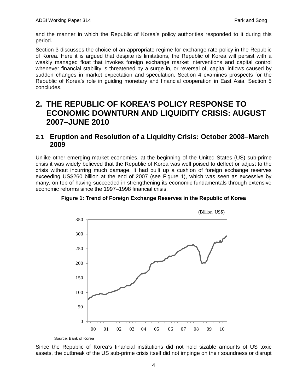and the manner in which the Republic of Korea's policy authorities responded to it during this period.

Section 3 discusses the choice of an appropriate regime for exchange rate policy in the Republic of Korea. Here it is argued that despite its limitations, the Republic of Korea will persist with a weakly managed float that invokes foreign exchange market interventions and capital control whenever financial stability is threatened by a surge in, or reversal of, capital inflows caused by sudden changes in market expectation and speculation. Section 4 examines prospects for the Republic of Korea's role in guiding monetary and financial cooperation in East Asia. Section 5 concludes.

# <span id="page-5-0"></span>**2. THE REPUBLIC OF KOREA'S POLICY RESPONSE TO ECONOMIC DOWNTURN AND LIQUIDITY CRISIS: AUGUST 2007–JUNE 2010**

### <span id="page-5-1"></span>**2.1 Eruption and Resolution of a Liquidity Crisis: October 2008–March 2009**

Unlike other emerging market economies, at the beginning of the United States (US) sub-prime crisis it was widely believed that the Republic of Korea was well poised to deflect or adjust to the crisis without incurring much damage. It had built up a cushion of foreign exchange reserves exceeding US\$260 billion at the end of 2007 (see Figure 1), which was seen as excessive by many, on top of having succeeded in strengthening its economic fundamentals through extensive economic reforms since the 1997–1998 financial crisis.



**Figure 1: Trend of Foreign Exchange Reserves in the Republic of Korea**

Source: Bank of Korea

Since the Republic of Korea's financial institutions did not hold sizable amounts of US toxic assets, the outbreak of the US sub-prime crisis itself did not impinge on their soundness or disrupt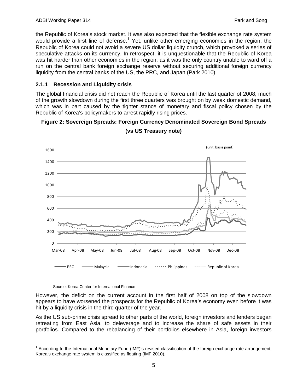the Republic of Korea's stock market. It was also expected that the flexible exchange rate system would provide a first line of defense.<sup>[1](#page-6-0)</sup> Yet, unlike other emerging economies in the region, the Republic of Korea could not avoid a severe US dollar liquidity crunch, which provoked a series of speculative attacks on its currency. In retrospect, it is unquestionable that the Republic of Korea was hit harder than other economies in the region, as it was the only country unable to ward off a run on the central bank foreign exchange reserve without securing additional foreign currency liquidity from the central banks of the US, the PRC, and Japan (Park 2010).

### **2.1.1 Recession and Liquidity crisis**

The global financial crisis did not reach the Republic of Korea until the last quarter of 2008; much of the growth slowdown during the first three quarters was brought on by weak domestic demand, which was in part caused by the tighter stance of monetary and fiscal policy chosen by the Republic of Korea's policymakers to arrest rapidly rising prices.

#### **Figure 2: Sovereign Spreads: Foreign Currency Denominated Sovereign Bond Spreads**



**(vs US Treasury note)**

#### Source: Korea Center for International Finance

However, the deficit on the current account in the first half of 2008 on top of the slowdown appears to have worsened the prospects for the Republic of Korea's economy even before it was hit by a liquidity crisis in the third quarter of the year.

As the US sub-prime crisis spread to other parts of the world, foreign investors and lenders began retreating from East Asia, to deleverage and to increase the share of safe assets in their portfolios. Compared to the rebalancing of their portfolios elsewhere in Asia, foreign investors

<span id="page-6-0"></span> $1$  According to the International Monetary Fund (IMF)'s revised classification of the foreign exchange rate arrangement, Korea's exchange rate system is classified as floating (IMF 2010).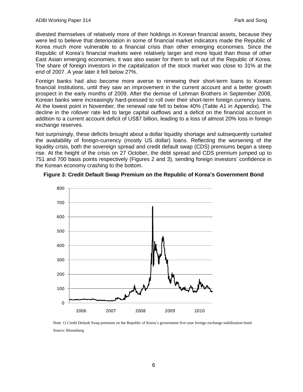divested themselves of relatively more of their holdings in Korean financial assets, because they were led to believe that deterioration in some of financial market indicators made the Republic of Korea much more vulnerable to a financial crisis than other emerging economies. Since the Republic of Korea's financial markets were relatively larger and more liquid than those of other East Asian emerging economies, it was also easier for them to sell out of the Republic of Korea. The share of foreign investors in the capitalization of the stock market was close to 31% at the end of 2007. A year later it fell below 27%.

Foreign banks had also become more averse to renewing their short-term loans to Korean financial institutions, until they saw an improvement in the current account and a better growth prospect in the early months of 2009. After the demise of Lehman Brothers in September 2008, Korean banks were increasingly hard-pressed to roll over their short-term foreign currency loans. At the lowest point in November, the renewal rate fell to below 40% (Table A1 in Appendix). The decline in the rollover rate led to large capital outflows and a deficit on the financial account in addition to a current account deficit of US\$7 billion, leading to a loss of almost 20% loss in foreign exchange reserves.

Not surprisingly, these deficits brought about a dollar liquidity shortage and subsequently curtailed the availability of foreign-currency (mostly US dollar) loans. Reflecting the worsening of the liquidity crisis, both the sovereign spread and credit default swap (CDS) premiums began a steep rise. At the height of the crisis on 27 October, the debt spread and CDS premium jumped up to 751 and 700 basis points respectively (Figures 2 and 3), sending foreign investors' confidence in the Korean economy crashing to the bottom.





Note: 1) Credit Default Swap premium on the Republic of Korea's government five-year foreign exchange stabilization bond Source: Bloomberg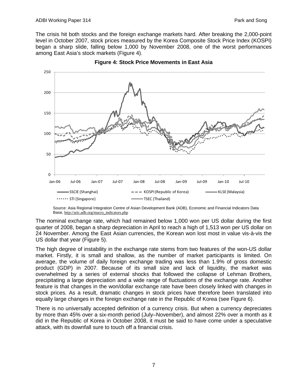The crisis hit both stocks and the foreign exchange markets hard. After breaking the 2,000-point level in October 2007, stock prices measured by the Korea Composite Stock Price Index (KOSPI) began a sharp slide, falling below 1,000 by November 2008, one of the worst performances among East Asia's stock markets (Figure 4).



**Figure 4: Stock Price Movements in East Asia**

The nominal exchange rate, which had remained below 1,000 won per US dollar during the first quarter of 2008, began a sharp depreciation in April to reach a high of 1,513 won per US dollar on 24 November. Among the East Asian currencies, the Korean won lost most in value vis-à-vis the US dollar that year (Figure 5).

The high degree of instability in the exchange rate stems from two features of the won-US dollar market. Firstly, it is small and shallow, as the number of market participants is limited. On average, the volume of daily foreign exchange trading was less than 1.9% of gross domestic product (GDP) in 2007. Because of its small size and lack of liquidity, the market was overwhelmed by a series of external shocks that followed the collapse of Lehman Brothers, precipitating a large depreciation and a wide range of fluctuations of the exchange rate. Another feature is that changes in the won/dollar exchange rate have been closely linked with changes in stock prices. As a result, dramatic changes in stock prices have therefore been translated into equally large changes in the foreign exchange rate in the Republic of Korea (see Figure 6).

There is no universally accepted definition of a currency crisis. But when a currency depreciates by more than 45% over a six-month period (July–November), and almost 22% over a month as it did in the Republic of Korea in October 2008, it must be said to have come under a speculative attack, with its downfall sure to touch off a financial crisis.

Source: Asia Regional Integration Centre of Asian Development Bank (ADB), Economic and Financial Indicators Data Base, [http://aric.adb.org/macro\\_indicators.php](http://aric.adb.org/macro_indicators.php)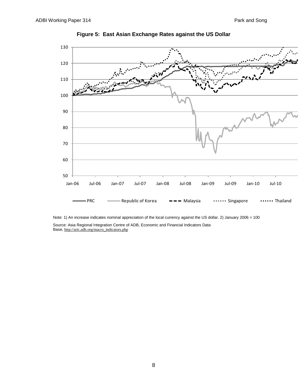

**Figure 5: East Asian Exchange Rates against the US Dollar**

Note: 1) An increase indicates nominal appreciation of the local currency against the US dollar. 2) January 2006 = 100

Source: Asia Regional Integration Centre of ADB, Economic and Financial Indicators Data Base, [http://aric.adb.org/macro\\_indicators.php](http://aric.adb.org/macro_indicators.php)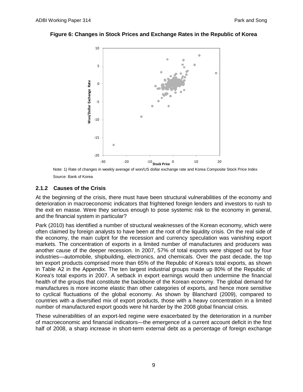#### **Figure 6: Changes in Stock Prices and Exchange Rates in the Republic of Korea**



Note: 1) Rate of changes in weekly average of won/US dollar exchange rate and Korea Composite Stock Price Index Source: Bank of Korea

#### **2.1.2 Causes of the Crisis**

At the beginning of the crisis, there must have been structural vulnerabilities of the economy and deterioration in macroeconomic indicators that frightened foreign lenders and investors to rush to the exit en masse. Were they serious enough to pose systemic risk to the economy in general, and the financial system in particular?

Park (2010) has identified a number of structural weaknesses of the Korean economy, which were often claimed by foreign analysts to have been at the root of the liquidity crisis. On the real side of the economy, the main culprit for the recession and currency speculation was vanishing export markets. The concentration of exports in a limited number of manufactures and producers was another cause of the deeper recession. In 2007, 57% of total exports were shipped out by four industries—automobile, shipbuilding, electronics, and chemicals. Over the past decade, the top ten export products comprised more than 65% of the Republic of Korea's total exports, as shown in Table A2 in the Appendix. The ten largest industrial groups made up 80% of the Republic of Korea's total exports in 2007. A setback in export earnings would then undermine the financial health of the groups that constitute the backbone of the Korean economy. The global demand for manufactures is more income elastic than other categories of exports, and hence more sensitive to cyclical fluctuations of the global economy. As shown by Blanchard (2009), compared to countries with a diversified mix of export products, those with a heavy concentration in a limited number of manufactured export goods were hit harder by the 2008 global financial crisis.

These vulnerabilities of an export-led regime were exacerbated by the deterioration in a number of macroeconomic and financial indicators—the emergence of a current account deficit in the first half of 2008, a sharp increase in short-term external debt as a percentage of foreign exchange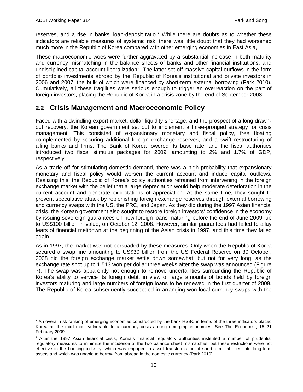reserves, and a rise in banks' loan-deposit ratio.<sup>[2](#page-11-1)</sup> While there are doubts as to whether these indicators are reliable measures of systemic risk, there was little doubt that they had worsened much more in the Republic of Korea compared with other emerging economies in East Asia,.

These macroeconomic woes were further aggravated by a substantial increase in both maturity and currency mismatching in the balance sheets of banks and other financial institutions, and undisciplined capital account liberalization $3$ . The latter set off massive capital outflows in the form of portfolio investments abroad by the Republic of Korea's institutional and private investors in 2006 and 2007, the bulk of which were financed by short-term external borrowing (Park 2010). Cumulatively, all these fragilities were serious enough to trigger an overreaction on the part of foreign investors, placing the Republic of Korea in a crisis zone by the end of September 2008.

### <span id="page-11-0"></span>**2.2 Crisis Management and Macroeconomic Policy**

Faced with a dwindling export market, dollar liquidity shortage, and the prospect of a long drawnout recovery, the Korean government set out to implement a three-pronged strategy for crisis management. This consisted of expansionary monetary and fiscal policy, free floating complemented by securing additional foreign exchange reserves, and a swift restructuring of ailing banks and firms. The Bank of Korea lowered its base rate, and the fiscal authorities introduced two fiscal stimulus packages for 2009, amounting to 2% and 1.7% of GDP, respectively.

As a trade off for stimulating domestic demand, there was a high probability that expansionary monetary and fiscal policy would worsen the current account and induce capital outflows. Realizing this, the Republic of Korea's policy authorities refrained from intervening in the foreign exchange market with the belief that a large depreciation would help moderate deterioration in the current account and generate expectations of appreciation. At the same time, they sought to prevent speculative attack by replenishing foreign exchange reserves through external borrowing and currency swaps with the US, the PRC, and Japan. As they did during the 1997 Asian financial crisis, the Korean government also sought to restore foreign investors' confidence in the economy by issuing sovereign guarantees on new foreign loans maturing before the end of June 2009, up to US\$100 billion in value, on October 12, 2008. However, similar guarantees had failed to allay fears of financial meltdown at the beginning of the Asian crisis in 1997, and this time they failed again.

As in 1997, the market was not persuaded by these measures. Only when the Republic of Korea secured a swap line amounting to US\$30 billion from the US Federal Reserve on 30 October, 2008 did the foreign exchange market settle down somewhat, but not for very long, as the exchange rate shot up to 1,513 won per dollar three weeks after the swap was announced (Figure 7). The swap was apparently not enough to remove uncertainties surrounding the Republic of Korea's ability to service its foreign debt, in view of large amounts of bonds held by foreign investors maturing and large numbers of foreign loans to be renewed in the first quarter of 2009. The Republic of Korea subsequently succeeded in arranging won-local currency swaps with the

<span id="page-11-1"></span> $2$  An overall risk ranking of emerging economies constructed by the bank HSBC in terms of the three indicators placed Korea as the third most vulnerable to a currency crisis among emerging economies. See The Economist, 15–21 February 2009.

<span id="page-11-2"></span><sup>&</sup>lt;sup>3</sup> After the 1997 Asian financial crisis, Korea's financial regulatory authorities instituted a number of prudential regulatory measures to minimize the incidence of the two balance sheet mismatches, but these restrictions were not effective in the banking industry, which was engaged in asset transformation of short-term liabilities into long-term assets and which was unable to borrow from abroad in the domestic currency (Park 2010).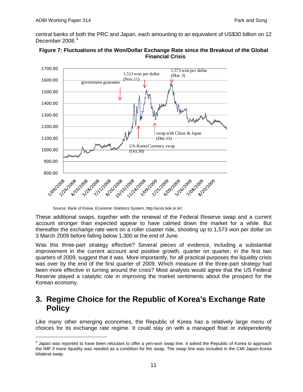central banks of both the PRC and Japan, each amounting to an equivalent of US\$30 billion on 12 December  $2008.<sup>4</sup>$  $2008.<sup>4</sup>$  $2008.<sup>4</sup>$ 





These additional swaps, together with the renewal of the Federal Reserve swap and a current account stronger than expected appear to have calmed down the market for a while. But thereafter the exchange rate went on a roller coaster ride, shooting up to 1,573 won per dollar on 3 March 2009 before falling below 1,300 at the end of June.

Was this three-part strategy effective? Several pieces of evidence, including a substantial improvement in the current account and positive growth, quarter on quarter, in the first two quarters of 2009, suggest that it was. More importantly, for all practical purposes the liquidity crisis was over by the end of the first quarter of 2009. Which measure of the three-part strategy had been more effective in turning around the crisis? Most analysts would agree that the US Federal Reserve played a catalytic role in improving the market sentiments about the prospect for the Korean economy.

# <span id="page-12-0"></span>**3. Regime Choice for the Republic of Korea's Exchange Rate Policy**

Like many other emerging economies, the Republic of Korea has a relatively large menu of choices for its exchange rate regime. It could stay on with a managed float or independently

Source: Bank of Korea, Economic Statistics System, [http://ecos.bok.or.kr/.](http://ecos.bok.or.kr/)

<span id="page-12-1"></span> $4$  Japan was reported to have been reluctant to offer a yen-won swap line. It asked the Republic of Korea to approach the IMF if more liquidity was needed as a condition for the swap. The swap line was included in the CMI Japan-Korea bilateral swap.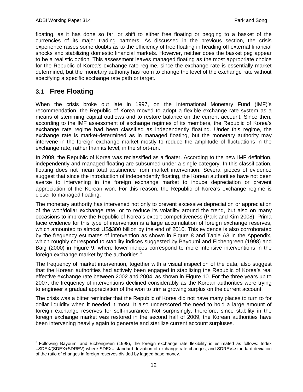floating, as it has done so far, or shift to either free floating or pegging to a basket of the currencies of its major trading partners. As discussed in the previous section, the crisis experience raises some doubts as to the efficiency of free floating in heading off external financial shocks and stabilizing domestic financial markets. However, neither does the basket peg appear to be a realistic option. This assessment leaves managed floating as the most appropriate choice for the Republic of Korea's exchange rate regime, since the exchange rate is essentially market determined, but the monetary authority has room to change the level of the exchange rate without specifying a specific exchange rate path or target.

### <span id="page-13-0"></span>**3.1 Free Floating**

When the crisis broke out late in 1997, on the International Monetary Fund (IMF)'s recommendation, the Republic of Korea moved to adopt a flexible exchange rate system as a means of stemming capital outflows and to restore balance on the current account. Since then, according to the IMF assessment of exchange regimes of its members, the Republic of Korea's exchange rate regime had been classified as independently floating. Under this regime, the exchange rate is market-determined as in managed floating, but the monetary authority may intervene in the foreign exchange market mostly to reduce the amplitude of fluctuations in the exchange rate, rather than its level, in the short-run.

In 2009, the Republic of Korea was reclassified as a floater. According to the new IMF definition, independently and managed floating are subsumed under a single category. In this classification, floating does not mean total abstinence from market intervention. Several pieces of evidence suggest that since the introduction of independently floating, the Korean authorities have not been averse to intervening in the foreign exchange market to induce depreciation or prevent appreciation of the Korean won. For this reason, the Republic of Korea's exchange regime is closer to managed floating.

The monetary authority has intervened not only to prevent excessive depreciation or appreciation of the won/dollar exchange rate, or to reduce its volatility around the trend, but also on many occasions to improve the Republic of Korea's export competitiveness (Park and Kim 2008). Prima facie evidence for this type of intervention is a large accumulation of foreign exchange reserves, which amounted to almost US\$300 billion by the end of 2010. This evidence is also corroborated by the frequency estimates of intervention as shown in Figure 8 and Table A3 in the Appendix, which roughly correspond to stability indices suggested by Bayoumi and Eichengreen (1998) and Baig (2000) in Figure 9, where lower indices correspond to more intensive interventions in the foreign exchange market by the authorities. $5$ 

The frequency of market intervention, together with a visual inspection of the data, also suggest that the Korean authorities had actively been engaged in stabilizing the Republic of Korea's real effective exchange rate between 2002 and 2004, as shown in Figure 10. For the three years up to 2007, the frequency of interventions declined considerably as the Korean authorities were trying to engineer a gradual appreciation of the won to trim a growing surplus on the current account.

The crisis was a bitter reminder that the Republic of Korea did not have many places to turn to for dollar liquidity when it needed it most. It also underscored the need to hold a large amount of foreign exchange reserves for self-insurance. Not surprisingly, therefore, since stability in the foreign exchange market was restored in the second half of 2009, the Korean authorities have been intervening heavily again to generate and sterilize current account surpluses.

<span id="page-13-1"></span><sup>&</sup>lt;sup>5</sup> Following Bayoumi and Eichengreen (1998), the foreign exchange rate flexibility is estimated as follows: Index =SDEX/(SDEX+SDREV) where SDEX= standard deviation of exchange rate changes, and SDREV=standard deviation of the ratio of changes in foreign reserves divided by lagged base money.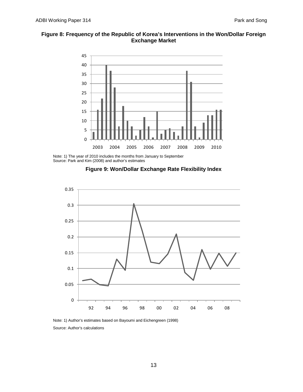### **Figure 8: Frequency of the Republic of Korea's Interventions in the Won/Dollar Foreign Exchange Market**



Note: 1) The year of 2010 includes the months from January to September Source: Park and Kim (2008) and author's estimates





Note: 1) Author's estimates based on Bayoumi and Eichengreen (1998) Source: Author's calculations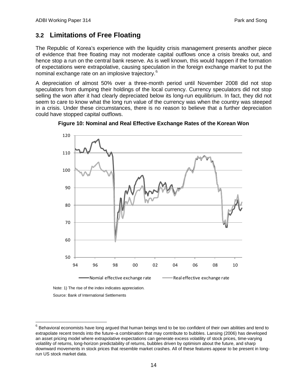## <span id="page-15-0"></span>**3.2 Limitations of Free Floating**

The Republic of Korea's experience with the liquidity crisis management presents another piece of evidence that free floating may not moderate capital outflows once a crisis breaks out, and hence stop a run on the central bank reserve. As is well known, this would happen if the formation of expectations were extrapolative, causing speculation in the foreign exchange market to put the nominal exchange rate on an implosive trajectory.<sup>[6](#page-15-1)</sup>

A depreciation of almost 50% over a three-month period until November 2008 did not stop speculators from dumping their holdings of the local currency. Currency speculators did not stop selling the won after it had clearly depreciated below its long-run equilibrium. In fact, they did not seem to care to know what the long run value of the currency was when the country was steeped in a crisis. Under these circumstances, there is no reason to believe that a further depreciation could have stopped capital outflows.



**Figure 10: Nominal and Real Effective Exchange Rates of the Korean Won**

Source: Bank of International Settlements

<span id="page-15-1"></span> $<sup>6</sup>$  Behavioral economists have long argued that human beings tend to be too confident of their own abilities and tend to</sup> extrapolate recent trends into the future–a combination that may contribute to bubbles. Lansing (2006) has developed an asset pricing model where extrapolative expectations can generate excess volatility of stock prices, time-varying volatility of returns, long-horizon predictability of returns, bubbles driven by optimism about the future, and sharp downward movements in stock prices that resemble market crashes. All of these features appear to be present in longrun US stock market data.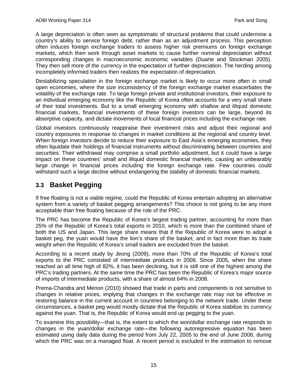A large depreciation is often seen as symptomatic of structural problems that could undermine a country's ability to service foreign debt, rather than as an adjustment process. This perception often induces foreign exchange traders to assess higher risk premiums on foreign exchange markets, which then work through asset markets to cause further nominal depreciation without corresponding changes in macroeconomic economic variables (Duarte and Stockman 2005). They then sell more of the currency in the expectation of further depreciation. The herding among incompletely informed traders then realizes the expectation of depreciation.

Destabilizing speculation in the foreign exchange market is likely to occur more often in small open economies, where the size inconsistency of the foreign exchange market exacerbates the volatility of the exchange rate. To large foreign private and institutional investors, their exposure to an individual emerging economy like the Republic of Korea often accounts for a very small share of their total investments. But to a small emerging economy with shallow and illiquid domestic financial markets, financial investments of these foreign investors can be large, beyond its absorptive capacity, and dictate movements of local financial prices including the exchange rate.

Global investors continuously reappraise their investment risks and adjust their regional and country exposures in response to changes in market conditions at the regional and country level. When foreign investors decide to reduce their exposure to East Asia's emerging economies, they often liquidate their holdings of financial instruments without discriminating between countries and securities. Their withdrawal may comprise a small portfolio adjustment, but it could have a large impact on these countries' small and illiquid domestic financial markets, causing an unbearably large change in financial prices including the foreign exchange rate. Few countries could withstand such a large decline without endangering the stability of domestic financial markets.

## <span id="page-16-0"></span>**3.3 Basket Pegging**

If free floating is not a viable regime, could the Republic of Korea entertain adopting an alternative system from a variety of basket pegging arrangements? This choice is not going to be any more acceptable than free floating because of the role of the PRC.

The PRC has become the Republic of Korea's largest trading partner, accounting for more than 25% of the Republic of Korea's total exports in 2010, which is more than the combined share of both the US and Japan. This large share means that if the Republic of Korea were to adopt a basket peg, the yuan would have the lion's share of the basket, and in fact more than its trade weight when the Republic of Korea's small traders are excluded from the basket.

According to a recent study by Jeong (2009), more than 70% of the Republic of Korea's total exports to the PRC consisted of intermediate products in 2008. Since 2005, when the share reached an all time high of 82%, it has been declining, but it is still one of the highest among the PRC's trading partners. At the same time the PRC has been the Republic of Korea's major source of imports of intermediate products, with a share of almost 64% in 2008.

Prema-Chandra and Menon (2010) showed that trade in parts and components is not sensitive to changes in relative prices, implying that changes in the exchange rate may not be effective in restoring balance in the current account in countries belonging to the network trade. Under these circumstances, a basket peg would mostly dictate that the Republic of Korea stabilize its currency against the yuan. That is, the Republic of Korea would end up pegging to the yuan.

To examine this possibility—that is, the extent to which the won/dollar exchange rate responds to changes in the yuan/dollar exchange rate—the following autoregressive equation has been estimated using daily data during the period from July 22, 2005 to the end of June 2008, during which the PRC was on a managed float. A recent period is excluded in the estimation to remove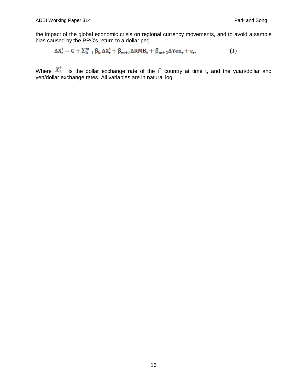the impact of the global economic crisis on regional currency movements, and to avoid a sample bias caused by the PRC's return to a dollar peg.

$$
\Delta X_{t}^{i} = C + \sum_{k=1}^{m} \beta_{k} \Delta X_{t}^{i} + \beta_{m+1} \Delta R M B_{t} + \beta_{m+2} \Delta Y en_{t} + \epsilon_{t},
$$
\n(1)

Where  $X_t^*$  is the dollar exchange rate of the i<sup>th</sup> country at time t, and the yuan/dollar and yen/dollar exchange rates. All variables are in natural log.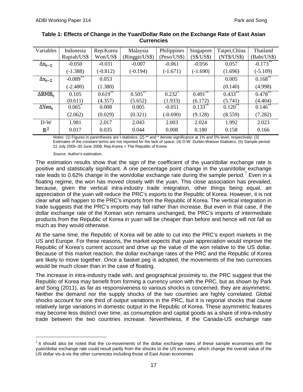| Variables             | Indonesia              | Rep.Korea  | Malaysia       | Philippines | Singapore                  | Taipei, China | Thailand          |
|-----------------------|------------------------|------------|----------------|-------------|----------------------------|---------------|-------------------|
|                       | Rupiah/US\$            | Won/US\$   | (Ringgit/US\$) | (Peso/US\$) | (S\$/US\$)                 | (NT\$/US\$)   | (Baht/US\$)       |
| $\Delta x_{t-1}$      | $-0.050$               | $-0.031$   | $-0.007$       | $-0.061$    | $-0.056$                   | 0.057         | $-0.173$ **       |
|                       | $(-1.388)$             | $(-0.812)$ | $(-0.194)$     | $(-1.671)$  | $(-1.690)$                 | (1.696)       | $(-5.109)$        |
| $\Delta x_{t-2}$      | $-0.089$ <sup>**</sup> | 0.053      |                |             |                            | 0.005         | $0.168$ **        |
|                       | $(-2.480)$             | (1.380)    |                |             |                            | (0.140)       | (4.998)           |
| ARMB.                 | 0.105                  | $0.619$ ** | $0.505***$     | $0.232$ *   | **<br>$0.491$ <sup>*</sup> | $0.433^{***}$ | $0.478$ **        |
|                       | (0.611)                | (4.357)    | (5.652)        | (1.933)     | (6.172)                    | (5.741)       | (4.404)           |
| $\Delta \text{Yen}_t$ | 0.065                  | 0.008      | 0.005          | $-0.051$    | 0.133                      | $0.120$ **    | $0.146^{\degree}$ |
|                       | (2.062)                | (0.029)    | (0.321)        | $(-0.690)$  | (9.128)                    | (8.559)       | (7.282)           |
| $D-W$                 | 1.981                  | 2.017      | 2.043          | 2.003       | 2.024                      | 1.992         | 2.023             |
| $\mathbb{R}^2$        | 0.017                  | 0.035      | 0.044          | 0.008       | 0.180                      | 0.158         | 0.166             |

#### **Table 1: Effects of Change in the Yuan/Dollar Rate on the Exchange Rate of East Asian Currencies**

*Notes*: (1) Figures in parentheses are t-statistics; (2) \*\* and \* denote significance at 1% and 5% level, respectively; (3) Estimates of the constant terms are not reported for the lack of space; (4) D-W: Durbin-Watson Statistics; (5) Sample period: 22 July 2005–30 June 2008; Rep.Korea = The Republic of Korea

*Source:* Author's estimation.

The estimation results show that the sign of the coefficient of the yuan/dollar exchange rate is positive and statistically significant. A one percentage point change in the yuan/dollar exchange rate leads to 0.62% change in the won/dollar exchange rate during the sample period.<sup>[7](#page-18-0)</sup> Even in a floating regime, the won has moved closely with the yuan. This close association has prevailed, because, given the vertical intra-industry trade integration, other things being equal, an appreciation of the yuan will reduce the PRC's exports to the Republic of Korea. However, it is not clear what will happen to the PRC's imports from the Republic of Korea. The vertical integration in trade suggests that the PRC's imports may fall rather than increase. But even in that case, if the dollar exchange rate of the Korean won remains unchanged, the PRC's imports of intermediate products from the Republic of Korea in yuan will be cheaper than before and hence will not fall as much as they would otherwise.

At the same time, the Republic of Korea will be able to cut into the PRC's export markets in the US and Europe. For these reasons, the market expects that yuan appreciation would improve the Republic of Korea's current account and drive up the value of the won relative to the US dollar. Because of this market reaction, the dollar exchange rates of the PRC and the Republic of Korea are likely to move together. Once a basket peg is adopted, the movements of the two currencies would be much closer than in the case of floating.

The increase in intra-industry trade with, and geographical proximity to, the PRC suggest that the Republic of Korea may benefit from forming a currency union with the PRC, but as shown by Park and Song (2011), as far as responsiveness to various shocks is concerned, they are asymmetric. Neither the demand nor the supply shocks of the two countries are highly correlated. Global shocks account for one third of output variations in the PRC, but it is regional shocks that cause relatively large variations in domestic output in the Republic of Korea. These asymmetric features may become less distinct over time, as consumption and capital goods as a share of intra-industry trade between the two countries increase. Nevertheless, if the Canada-US exchange rate

<span id="page-18-0"></span> $<sup>7</sup>$  It should also be noted that the co-movements of the dollar exchange rates of these sample economies with the</sup> yuan/dollar exchange rate could result partly from the shocks to the US economy, which change the overall value of the US dollar vis-à-vis the other currencies including those of East Asian economies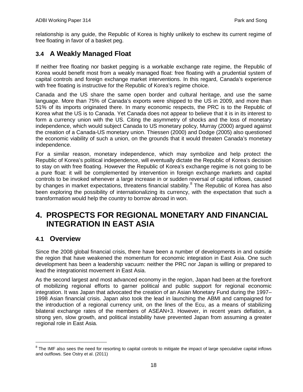relationship is any guide, the Republic of Korea is highly unlikely to eschew its current regime of free floating in favor of a basket peg.

## <span id="page-19-0"></span>**3.4 A Weakly Managed Float**

If neither free floating nor basket pegging is a workable exchange rate regime, the Republic of Korea would benefit most from a weakly managed float: free floating with a prudential system of capital controls and foreign exchange market interventions. In this regard, Canada's experience with free floating is instructive for the Republic of Korea's regime choice.

Canada and the US share the same open border and cultural heritage, and use the same language. More than 75% of Canada's exports were shipped to the US in 2009, and more than 51% of its imports originated there. In many economic respects, the PRC is to the Republic of Korea what the US is to Canada. Yet Canada does not appear to believe that it is in its interest to form a currency union with the US. Citing the asymmetry of shocks and the loss of monetary independence, which would subject Canada to US monetary policy, Murray (2000) argued against the creation of a Canada-US monetary union. Thiessen (2000) and Dodge (2005) also questioned the economic viability of such a union, on the grounds that it would threaten Canada's monetary independence.

For a similar reason, monetary independence, which may symbolize and help protect the Republic of Korea's political independence, will eventually dictate the Republic of Korea's decision to stay on with free floating. However the Republic of Korea's exchange regime is not going to be a pure float: it will be complemented by intervention in foreign exchange markets and capital controls to be invoked whenever a large increase in or sudden reversal of capital inflows, caused by changes in market expectations, threatens financial stability.<sup>[8](#page-19-3)</sup> The Republic of Korea has also been exploring the possibility of internationalizing its currency, with the expectation that such a transformation would help the country to borrow abroad in won.

# <span id="page-19-1"></span>**4. PROSPECTS FOR REGIONAL MONETARY AND FINANCIAL INTEGRATION IN EAST ASIA**

### <span id="page-19-2"></span>**4.1 Overview**

Since the 2008 global financial crisis, there have been a number of developments in and outside the region that have weakened the momentum for economic integration in East Asia. One such development has been a leadership vacuum: neither the PRC nor Japan is willing or prepared to lead the integrationist movement in East Asia.

As the second largest and most advanced economy in the region, Japan had been at the forefront of mobilizing regional efforts to garner political and public support for regional economic integration. It was Japan that advocated the creation of an Asian Monetary Fund during the 1997– 1998 Asian financial crisis. Japan also took the lead in launching the ABMI and campaigned for the introduction of a regional currency unit, on the lines of the Ecu, as a means of stabilizing bilateral exchange rates of the members of ASEAN+3. However, in recent years deflation, a strong yen, slow growth, and political instability have prevented Japan from assuming a greater regional role in East Asia.

<span id="page-19-3"></span> $8$  The IMF also sees the need for resorting to capital controls to mitigate the impact of large speculative capital inflows and outflows. See Ostry et al. (2011)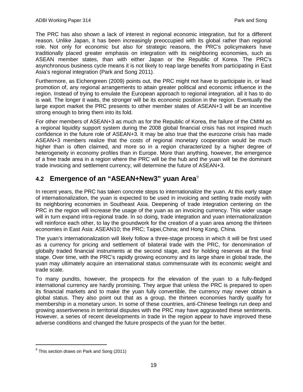The PRC has also shown a lack of interest in regional economic integration, but for a different reason. Unlike Japan, it has been increasingly preoccupied with its global rather than regional role. Not only for economic but also for strategic reasons, the PRC's policymakers have traditionally placed greater emphasis on integration with its neighboring economies, such as ASEAN member states, than with either Japan or the Republic of Korea. The PRC's asynchronous business cycle means it is not likely to reap large benefits from participating in East Asia's regional integration (Park and Song 2011).

Furthermore, as Eichengreen (2009) points out, the PRC might not have to participate in, or lead promotion of, any regional arrangements to attain greater political and economic influence in the region. Instead of trying to emulate the European approach to regional integration, all it has to do is wait. The longer it waits, the stronger will be its economic position in the region. Eventually the large export market the PRC presents to other member states of ASEAN+3 will be an incentive strong enough to bring them into its fold.

For other members of ASEAN+3 as much as for the Republic of Korea, the failure of the CMIM as a regional liquidity support system during the 2008 global financial crisis has not inspired much confidence in the future role of ASEAN+3. It may be also true that the eurozone crisis has made ASEAN+3 members realize that the costs of regional monetary cooperation would be much higher than is often claimed, and more so in a region characterized by a higher degree of heterogeneity in economy profiles than in Europe. More than anything, however, the emergence of a free trade area in a region where the PRC will be the hub and the yuan will be the dominant trade invoicing and settlement currency, will determine the future of ASEAN+3.

## <span id="page-20-0"></span>4.2 **Emergence of an "ASEAN+New3" yuan Area**<sup>[9](#page-20-1)</sup>

In recent years, the PRC has taken concrete steps to internationalize the yuan. At this early stage of internationalization, the yuan is expected to be used in invoicing and settling trade mostly with its neighboring economies in Southeast Asia. Deepening of trade integration centering on the PRC in the region will increase the usage of the yuan as an invoicing currency. This wider usage will in turn expand intra-regional trade. In so doing, trade integration and yuan internationalization will reinforce each other, to lay the groundwork for the creation of a yuan area among the thirteen economies in East Asia: ASEAN10; the PRC; Taipei,China; and Hong Kong, China.

The yuan's internationalization will likely follow a three-stage process in which it will be first used as a currency for pricing and settlement of bilateral trade with the PRC, for denomination of globally traded financial instruments at the second stage, and for holding reserves at the final stage. Over time, with the PRC's rapidly growing economy and its large share in global trade, the yuan may ultimately acquire an international status commensurate with its economic weight and trade scale.

To many pundits, however, the prospects for the elevation of the yuan to a fully-fledged international currency are hardly promising. They argue that unless the PRC is prepared to open its financial markets and to make the yuan fully convertible, the currency may never obtain a global status. They also point out that as a group, the thirteen economies hardly qualify for membership in a monetary union. In some of these countries, anti-Chinese feelings run deep and growing assertiveness in territorial disputes with the PRC may have aggravated these sentiments. However, a series of recent developments in trade in the region appear to have improved these adverse conditions and changed the future prospects of the yuan for the better.

<span id="page-20-1"></span> $9$  This section draws on Park and Song (2011)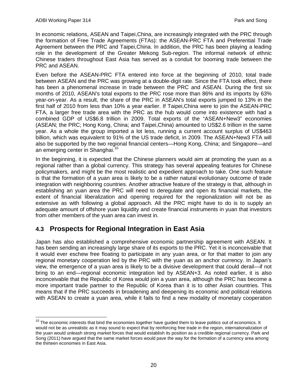In economic relations, ASEAN and Taipei,China, are increasingly integrated with the PRC through the formation of Free Trade Agreements (FTAs): the ASEAN-PRC FTA and Preferential Trade Agreement between the PRC and Taipei,China. In addition, the PRC has been playing a leading role in the development of the Greater Mekong Sub-region. The informal network of ethnic Chinese traders throughout East Asia has served as a conduit for booming trade between the PRC and ASEAN.

Even before the ASEAN-PRC FTA entered into force at the beginning of 2010, total trade between ASEAN and the PRC was growing at a double-digit rate. Since the FTA took effect, there has been a phenomenal increase in trade between the PRC and ASEAN. During the first six months of 2010, ASEAN's total exports to the PRC rose more than 86% and its imports by 63% year-on-year. As a result, the share of the PRC in ASEAN's total exports jumped to 13% in the first half of 2010 from less than 10% a year earlier. If Taipei,China were to join the ASEAN-PRC FTA, a larger free trade area with the PRC as the hub would come into existence with had a combined GDP of US\$6.8 trillion in 2009. Total exports of the "ASEAN+New3" economies (ASEAN; the PRC; Hong Kong, China; and Taipei,China) amounted to US\$2.6 trillion in the same year. As a whole the group imported a lot less, running a current account surplus of US\$463 billion, which was equivalent to 91% of the US trade deficit, in 2009. The ASEAN+New3 FTA will also be supported by the two regional financial centers—Hong Kong, China; and Singapore—and an emerging center in Shanghai.<sup>[10](#page-21-1)</sup>

In the beginning, it is expected that the Chinese planners would aim at promoting the yuan as a regional rather than a global currency. This strategy has several appealing features for Chinese policymakers, and might be the most realistic and expedient approach to take. One such feature is that the formation of a yuan area is likely to be a rather natural evolutionary outcome of trade integration with neighboring countries. Another attractive feature of the strategy is that, although in establishing an yuan area the PRC will need to deregulate and open its financial markets, the extent of financial liberalization and opening required for the regionalization will not be as extensive as with following a global approach. All the PRC might have to do is to supply an adequate amount of offshore yuan liquidity and create financial instruments in yuan that investors from other members of the yuan area can invest in.

## <span id="page-21-0"></span>**4.3 Prospects for Regional Integration in East Asia**

Japan has also established a comprehensive economic partnership agreement with ASEAN. It has been sending an increasingly large share of its exports to the PRC. Yet it is inconceivable that it would ever eschew free floating to participate in any yuan area, or for that matter to join any regional monetary cooperation led by the PRC with the yuan as an anchor currency. In Japan's view, the emergence of a yuan area is likely to be a divisive development that could derail—if not bring to an end—regional economic integration led by ASEAN+3. As noted earlier, it is also inconceivable that the Republic of Korea would join a yuan area, although the PRC has become a more important trade partner to the Republic of Korea than it is to other Asian countries. This means that if the PRC succeeds in broadening and deepening its economic and political relations with ASEAN to create a yuan area, while it fails to find a new modality of monetary cooperation

<span id="page-21-1"></span> $10$  The economic interests that bind the economies together have guided them to leave politics out of economics. It would not be as unrealistic as it may sound to expect that by reinforcing free trade in the region, internationalization of the yuan would unleash strong market forces that would establish its position as a credible regional currency. Park and Song (2011) have argued that the same market forces would pave the way for the formation of a currency area among the thirteen economies in East Asia.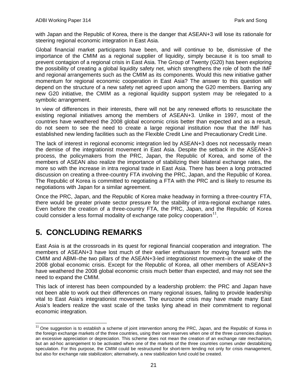with Japan and the Republic of Korea, there is the danger that ASEAN+3 will lose its rationale for steering regional economic integration in East Asia.

Global financial market participants have been, and will continue to be, dismissive of the importance of the CMIM as a regional supplier of liquidity, simply because it is too small to prevent contagion of a regional crisis in East Asia. The Group of Twenty (G20) has been exploring the possibility of creating a global liquidity safety net, which strengthens the role of both the IMF and regional arrangements such as the CMIM as its components. Would this new initiative gather momentum for regional economic cooperation in East Asia? The answer to this question will depend on the structure of a new safety net agreed upon among the G20 members. Barring any new G20 initiative, the CMIM as a regional liquidity support system may be relegated to a symbolic arrangement.

In view of differences in their interests, there will not be any renewed efforts to resuscitate the existing regional initiatives among the members of ASEAN+3. Unlike in 1997, most of the countries have weathered the 2008 global economic crisis better than expected and as a result, do not seem to see the need to create a large regional institution now that the IMF has established new lending facilities such as the Flexible Credit Line and Precautionary Credit Line.

The lack of interest in regional economic integration led by ASEAN+3 does not necessarily mean the demise of the integrationist movement in East Asia. Despite the setback in the ASEAN+3 process, the policymakers from the PRC, Japan, the Republic of Korea, and some of the members of ASEAN also realize the importance of stabilizing their bilateral exchange rates, the more so with the increase in intra regional trade in East Asia. There has been a long protracted discussion on creating a three-country FTA involving the PRC, Japan, and the Republic of Korea. The Republic of Korea is committed to negotiating a FTA with the PRC and is likely to resume its negotiations with Japan for a similar agreement.

Once the PRC, Japan, and the Republic of Korea make headway in forming a three-country FTA, there would be greater private sector pressure for the stability of intra-regional exchange rates. Even before the creation of a three-country FTA, the PRC, Japan, and the Republic of Korea could consider a less formal modality of exchange rate policy cooperation $^{11}$  $^{11}$  $^{11}$ .

# <span id="page-22-0"></span>**5. CONCLUDING REMARKS**

East Asia is at the crossroads in its quest for regional financial cooperation and integration. The members of ASEAN+3 have lost much of their earlier enthusiasm for moving forward with the CMIM and ABMI–the two pillars of the ASEAN+3-led integrationist movement–in the wake of the 2008 global economic crisis. Except for the Republic of Korea, all other members of ASEAN+3 have weathered the 2008 global economic crisis much better than expected, and may not see the need to expand the CMIM.

This lack of interest has been compounded by a leadership problem: the PRC and Japan have not been able to work out their differences on many regional issues, failing to provide leadership vital to East Asia's integrationist movement. The eurozone crisis may have made many East Asia's leaders realize the vast scale of the tasks lying ahead in their commitment to regional economic integration.

<span id="page-22-1"></span> $11$  One suggestion is to establish a scheme of joint intervention among the PRC, Japan, and the Republic of Korea in the foreign exchange markets of the three countries, using their own reserves when one of the three currencies displays an excessive appreciation or depreciation. This scheme does not mean the creation of an exchange rate mechanism, but an ad-hoc arrangement to be activated when one of the markets of the three countries comes under destabilizing speculation. For this purpose, the CMIM could be restructured for short-term lending not only for crisis management, but also for exchange rate stabilization; alternatively, a new stabilization fund could be created.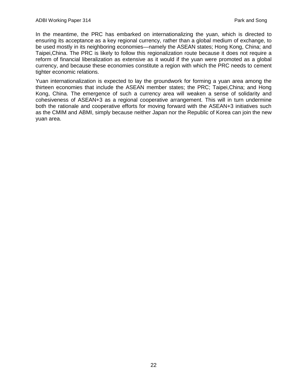In the meantime, the PRC has embarked on internationalizing the yuan, which is directed to ensuring its acceptance as a key regional currency, rather than a global medium of exchange, to be used mostly in its neighboring economies—namely the ASEAN states; Hong Kong, China; and Taipei,China. The PRC is likely to follow this regionalization route because it does not require a reform of financial liberalization as extensive as it would if the yuan were promoted as a global currency, and because these economies constitute a region with which the PRC needs to cement tighter economic relations.

Yuan internationalization is expected to lay the groundwork for forming a yuan area among the thirteen economies that include the ASEAN member states; the PRC; Taipei,China; and Hong Kong, China. The emergence of such a currency area will weaken a sense of solidarity and cohesiveness of ASEAN+3 as a regional cooperative arrangement. This will in turn undermine both the rationale and cooperative efforts for moving forward with the ASEAN+3 initiatives such as the CMIM and ABMI, simply because neither Japan nor the Republic of Korea can join the new yuan area.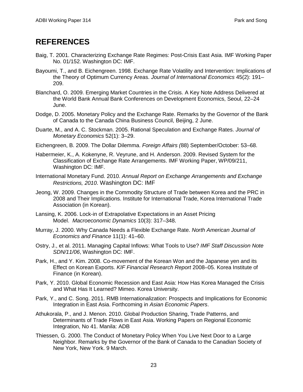# <span id="page-24-0"></span>**REFERENCES**

- Baig, T. 2001. Characterizing Exchange Rate Regimes: Post-Crisis East Asia. IMF Working Paper No. 01/152. Washington DC: IMF.
- Bayoumi, T., and B. Eichengreen. 1998. Exchange Rate Volatility and Intervention: Implications of the Theory of Optimum Currency Areas. *Journal of International Economics* 45(2): 191– 209.
- Blanchard, O. 2009. Emerging Market Countries in the Crisis. A Key Note Address Delivered at the World Bank Annual Bank Conferences on Development Economics, Seoul, 22–24 June.
- Dodge, D. 2005. Monetary Policy and the Exchange Rate. Remarks by the Governor of the Bank of Canada to the Canada China Business Council, Beijing, 2 June.
- Duarte, M., and A. C. Stockman. 2005. Rational Speculation and Exchange Rates. *Journal of Monetary Economics* 52(1): 3–29.
- Eichengreen, B. 2009. The Dollar Dilemma. *Foreign Affairs (*88) September/October: 53–68.
- Habermeier, K., A. Kokenyne, R. Veyrune, and H. Anderson. 2009. Revised System for the Classification of Exchange Rate Arrangements. IMF Working Paper, WP/09/211, Washington DC: IMF.
- International Monetary Fund. 2010. *Annual Report on Exchange Arrangements and Exchange Restrictions, 2010*. Washington DC: IMF
- Jeong, W. 2009. Changes in the Commodity Structure of Trade between Korea and the PRC in 2008 and Their Implications. Institute for International Trade, Korea International Trade Association (in Korean).
- Lansing, K. 2006. Lock-in of Extrapolative Expectations in an Asset Pricing Model. *Macroeconomic Dynamics* 10(3): 317–348.
- Murray, J. 2000. Why Canada Needs a Flexible Exchange Rate. *North American Journal of Economics and Finance* 11(1): 41–60.
- Ostry, J., et al. 2011. Managing Capital Inflows: What Tools to Use? *IMF Staff Discussion Note SDN/11/06*, Washington DC: IMF.
- Park, H., and Y. Kim. 2008. Co-movement of the Korean Won and the Japanese yen and its Effect on Korean Exports. *KIF Financial Research Report* 2008–05. Korea Institute of Finance (in Korean).
- Park, Y. 2010. Global Economic Recession and East Asia: How Has Korea Managed the Crisis and What Has It Learned? Mimeo. Korea University.
- Park, Y., and C. Song. 2011. RMB Internationalization: Prospects and Implications for Economic Integration in East Asia. Forthcoming in *Asian Economic Papers*.
- [Athukorala,](http://econpapers.repec.org/RAS/pat44.htm) P., and J. [Menon.](http://econpapers.repec.org/RAS/pme8.htm) 2010. Global Production Sharing, Trade Patterns, and Determinants of Trade Flows in East Asia. [Working Papers on Regional Economic](http://econpapers.repec.org/paper/risadbrei/)  [Integration,](http://econpapers.repec.org/paper/risadbrei/) No 41. Manila: ADB
- Thiessen, G. 2000. The Conduct of Monetary Policy When You Live Next Door to a Large Neighbor. Remarks by the Governor of the Bank of Canada to the Canadian Society of New York, New York. 9 March.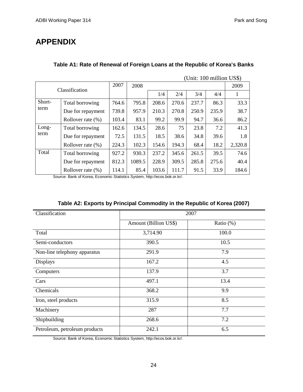# <span id="page-25-0"></span>**APPENDIX**

| (Unit: 100 million US\$) |                      |       |        |       |       |       |       |         |
|--------------------------|----------------------|-------|--------|-------|-------|-------|-------|---------|
| Classification           |                      | 2007  | 2008   |       | 2009  |       |       |         |
|                          |                      |       |        | 1/4   | 2/4   | 3/4   | 4/4   | 1       |
| Short-<br>term           | Total borrowing      | 764.6 | 795.8  | 208.6 | 270.6 | 237.7 | 86.3  | 33.3    |
|                          | Due for repayment    | 739.8 | 957.9  | 210.3 | 270.8 | 250.9 | 235.9 | 38.7    |
|                          | Rollover rate $(\%)$ | 103.4 | 83.1   | 99.2  | 99.9  | 94.7  | 36.6  | 86.2    |
| Long-<br>term            | Total borrowing      | 162.6 | 134.5  | 28.6  | 75    | 23.8  | 7.2   | 41.3    |
|                          | Due for repayment    | 72.5  | 131.5  | 18.5  | 38.6  | 34.8  | 39.6  | 1.8     |
|                          | Rollover rate $(\%)$ | 224.3 | 102.3  | 154.6 | 194.3 | 68.4  | 18.2  | 2,320.8 |
| Total                    | Total borrowing      | 927.2 | 930.3  | 237.2 | 345.6 | 261.5 | 39.5  | 74.6    |
|                          | Due for repayment    | 812.3 | 1089.5 | 228.9 | 309.5 | 285.8 | 275.6 | 40.4    |
|                          | Rollover rate $(\%)$ | 114.1 | 85.4   | 103.6 | 111.7 | 91.5  | 33.9  | 184.6   |

### **Table A1: Rate of Renewal of Foreign Loans at the Republic of Korea's Banks**

Source: Bank of Korea, Economic Statistics System, http://ecos.bok.or.kr/.

| Classification                | $\cdots$ . The component of $\cdots$ is a component with $\cdots$ and $\cdots$ parameters of $\cdots$<br>2007 |           |  |  |  |  |
|-------------------------------|---------------------------------------------------------------------------------------------------------------|-----------|--|--|--|--|
|                               | Amount (Billion US\$)                                                                                         | Ratio (%) |  |  |  |  |
| Total                         | 3,714.90                                                                                                      | 100.0     |  |  |  |  |
| Semi-conductors               | 390.5                                                                                                         | 10.5      |  |  |  |  |
| Non-line telephony apparatus  | 291.9                                                                                                         | 7.9       |  |  |  |  |
| <b>Displays</b>               | 167.2                                                                                                         | 4.5       |  |  |  |  |
| Computers                     | 137.9                                                                                                         | 3.7       |  |  |  |  |
| Cars                          | 497.1                                                                                                         | 13.4      |  |  |  |  |
| Chemicals                     | 368.2                                                                                                         | 9.9       |  |  |  |  |
| Iron, steel products          | 315.9                                                                                                         | 8.5       |  |  |  |  |
| Machinery                     | 287                                                                                                           | 7.7       |  |  |  |  |
| Shipbuilding                  | 268.6                                                                                                         | 7.2       |  |  |  |  |
| Petroleum, petroleum products | 242.1                                                                                                         | 6.5       |  |  |  |  |

Source: Bank of Korea, Economic Statistics System, http://ecos.bok.or.kr/.